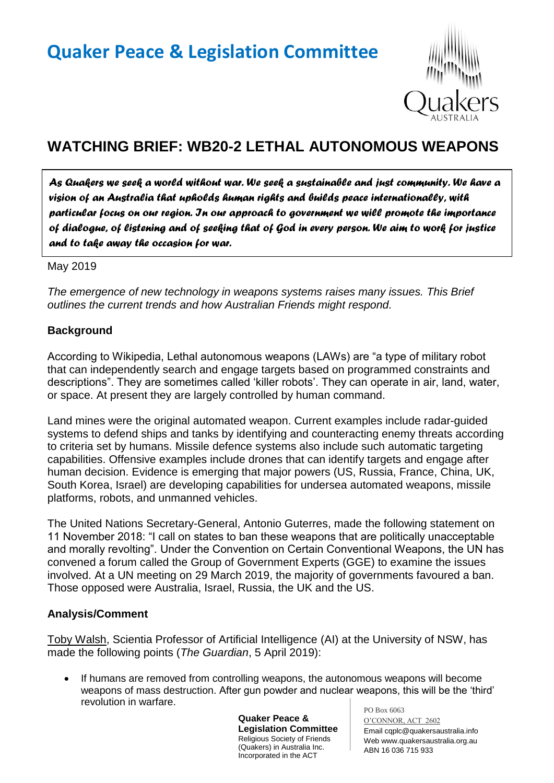

# **WATCHING BRIEF: WB20-2 LETHAL AUTONOMOUS WEAPONS**

*As Quakers we seek a world without war. We seek a sustainable and just community. We have a vision of an Australia that upholds human rights and builds peace internationally, with particular focus on our region. In our approach to government we will promote the importance of dialogue, of listening and of seeking that of God in every person. We aim to work for justice and to take away the occasion for war.* 

May 2019

*The emergence of new technology in weapons systems raises many issues. This Brief outlines the current trends and how Australian Friends might respond.*

### **Background**

According to Wikipedia, Lethal autonomous weapons (LAWs) are "a type of military robot that can independently search and engage targets based on programmed constraints and descriptions". They are sometimes called 'killer robots'. They can operate in air, land, water, or space. At present they are largely controlled by human command.

Land mines were the original automated weapon. Current examples include radar-guided systems to defend ships and tanks by identifying and counteracting enemy threats according to criteria set by humans. Missile defence systems also include such automatic targeting capabilities. Offensive examples include drones that can identify targets and engage after human decision. Evidence is emerging that major powers (US, Russia, France, China, UK, South Korea, Israel) are developing capabilities for undersea automated weapons, missile platforms, robots, and unmanned vehicles.

The United Nations Secretary-General, Antonio Guterres, made the following statement on 11 November 2018: "I call on states to ban these weapons that are politically unacceptable and morally revolting". Under the Convention on Certain Conventional Weapons, the UN has convened a forum called the Group of Government Experts (GGE) to examine the issues involved. At a UN meeting on 29 March 2019, the majority of governments favoured a ban. Those opposed were Australia, Israel, Russia, the UK and the US.

#### **Analysis/Comment**

Toby Walsh, Scientia Professor of Artificial Intelligence (AI) at the University of NSW, has made the following points (*The Guardian*, 5 April 2019):

• If humans are removed from controlling weapons, the autonomous weapons will become weapons of mass destruction. After gun powder and nuclear weapons, this will be the 'third' revolution in warfare.

> **Quaker Peace & Legislation Committee** Religious Society of Friends (Quakers) in Australia Inc. Incorporated in the ACT

PO Box 6063 O'CONNOR, ACT 2602 Email cqplc@quakersaustralia.info Web www.quakersaustralia.org.au ABN 16 036 715 933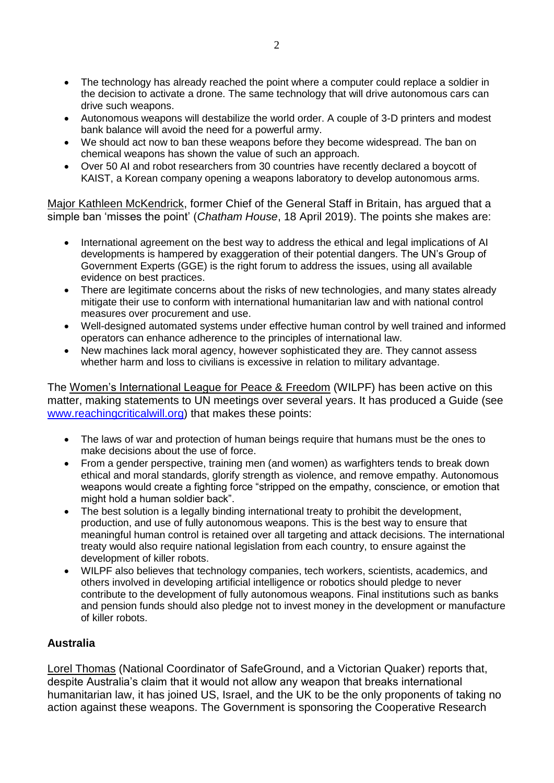- The technology has already reached the point where a computer could replace a soldier in the decision to activate a drone. The same technology that will drive autonomous cars can drive such weapons.
- Autonomous weapons will destabilize the world order. A couple of 3-D printers and modest bank balance will avoid the need for a powerful army.
- We should act now to ban these weapons before they become widespread. The ban on chemical weapons has shown the value of such an approach.
- Over 50 AI and robot researchers from 30 countries have recently declared a boycott of KAIST, a Korean company opening a weapons laboratory to develop autonomous arms.

Major Kathleen McKendrick, former Chief of the General Staff in Britain, has argued that a simple ban 'misses the point' (*Chatham House*, 18 April 2019). The points she makes are:

- International agreement on the best way to address the ethical and legal implications of AI developments is hampered by exaggeration of their potential dangers. The UN's Group of Government Experts (GGE) is the right forum to address the issues, using all available evidence on best practices.
- There are legitimate concerns about the risks of new technologies, and many states already mitigate their use to conform with international humanitarian law and with national control measures over procurement and use.
- Well-designed automated systems under effective human control by well trained and informed operators can enhance adherence to the principles of international law.
- New machines lack moral agency, however sophisticated they are. They cannot assess whether harm and loss to civilians is excessive in relation to military advantage.

The Women's International League for Peace & Freedom (WILPF) has been active on this matter, making statements to UN meetings over several years. It has produced a Guide (see [www.reachingcriticalwill.org\)](http://www.reachingcriticalwill.org/) that makes these points:

- The laws of war and protection of human beings require that humans must be the ones to make decisions about the use of force.
- From a gender perspective, training men (and women) as warfighters tends to break down ethical and moral standards, glorify strength as violence, and remove empathy. Autonomous weapons would create a fighting force "stripped on the empathy, conscience, or emotion that might hold a human soldier back".
- The best solution is a legally binding international treaty to prohibit the development. production, and use of fully autonomous weapons. This is the best way to ensure that meaningful human control is retained over all targeting and attack decisions. The international treaty would also require national legislation from each country, to ensure against the development of killer robots.
- WILPF also believes that technology companies, tech workers, scientists, academics, and others involved in developing artificial intelligence or robotics should pledge to never contribute to the development of fully autonomous weapons. Final institutions such as banks and pension funds should also pledge not to invest money in the development or manufacture of killer robots.

## **Australia**

Lorel Thomas (National Coordinator of SafeGround, and a Victorian Quaker) reports that, despite Australia's claim that it would not allow any weapon that breaks international humanitarian law, it has joined US, Israel, and the UK to be the only proponents of taking no action against these weapons. The Government is sponsoring the Cooperative Research